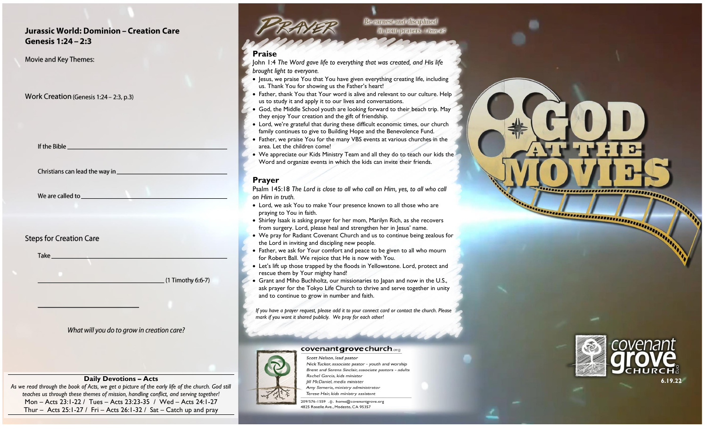## Jurassic World: Dominion - Creation Care Genesis 1:24 - 2:3

Movie and Key Themes:

## Work Creation (Genesis 1:24 - 2:3, p.3)

If the Bible

We are called to

## **Steps for Creation Care**

|    | ĸ |  |
|----|---|--|
| uı |   |  |
|    |   |  |

 $(1$  Timothy 6:6-7)

## What will you do to grow in creation care?

*As we read through the book of Acts, we get a picture of the early life of the church. God still teaches us through these themes of mission, handling conflict, and serving together!* Mon – Acts 23:1-22 / Tues – Acts 23:23-35 / Wed – Acts 24:1-27 Thur – Acts  $25:1-27$  / Fri – Acts  $26:1-32$  / Sat – Catch up and pray



**Be earnest and disciplined** in your prayers. I Peter4#

## **Praise**

John 1:4 *The Word gave life to everything that was created, and His life brought light to everyone.*

- Jesus, we praise You that You have given everything creating life, including us. Thank You for showing us the Father's heart!
- Father, thank You that Your word is alive and relevant to our culture. Help us to study it and apply it to our lives and conversations.
- God, the Middle School youth are looking forward to their beach trip. May they enjoy Your creation and the gift of friendship.
- Lord, we're grateful that during these difficult economic times, our church family continues to give to Building Hope and the Benevolence Fund.
- Father, we praise You for the many VBS events at various churches in the area. Let the children come!
- We appreciate our Kids Ministry Team and all they do to teach our kids the Word and organize events in which the kids can invite their friends.

## **Prayer**

Psalm 145:18 *The Lord is close to all who call on Him, yes, to all who call on Him in truth.*

- Lord, we ask You to make Your presence known to all those who are praying to You in faith.
- Shirley Isaak is asking prayer for her mom, Marilyn Rich, as she recovers from surgery. Lord, please heal and strengthen her in Jesus' name.
- We pray for Radiant Covenant Church and us to continue being zealous for the Lord in inviting and discipling new people.
- Father, we ask for Your comfort and peace to be given to all who mourn for Robert Ball. We rejoice that He is now with You.
- Let's lift up those trapped by the floods in Yellowstone. Lord, protect and rescue them by Your mighty hand!
- Grant and Miho Buchholtz, our missionaries to Japan and now in the U.S., ask prayer for the Tokyo Life Church to thrive and serve together in unity and to continue to grow in number and faith.

*If you have a prayer request, please add it to your connect card or contact the church. Please mark if you want it shared publicly. We pray for each other!*

#### **covenant grove church**.org



Scott Nelson, lead pastor Nick Tucker, associate pastor - youth and worship Brent and Serena Sinclair, associate pastors - adults **Daily Devotions – Acts 6.19.22** Amy Semeria, ministry administrator Terese Hair, kids ministry assistant

> 209/576-1559 .: ||:. home@covenantgrove.org 4825 Roselle Ave., Modesto, CA 95357



**PERSONAL PROPERTY AND INCOME.**